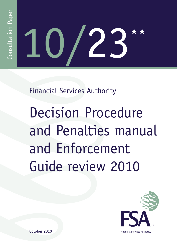# 10/23««

Financial Services Authority

Decision Procedure and Penalties manual and Enforcement Guide review 2010



October 2010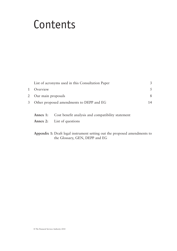# Contents

|   | List of acronyms used in this Consultation Paper | 3  |
|---|--------------------------------------------------|----|
|   | Overview                                         |    |
|   | 2 Our main proposals                             | 8  |
| 3 | Other proposed amendments to DEPP and EG         | 14 |
|   |                                                  |    |
|   |                                                  |    |

| Annex 1: Cost benefit analysis and compatibility statement |
|------------------------------------------------------------|
| <b>Annex 2:</b> List of questions                          |

## **Appendix 1:** Draft legal instrument setting out the proposed amendments to the Glossary, GEN, DEPP and EG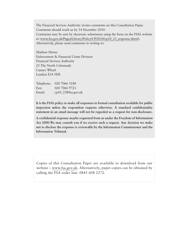The Financial Services Authority invites comments on this Consultation Paper. Comments should reach us by 14 December 2010. Comments may be sent by electronic submission using the form on the FSA's website at [\(www.fsa.gov.uk/Pages/Library/Policy/CP/2010/cp10\\_23\\_response.shtml\)](http://www.fsa.gov.uk/Pages/Library/Policy/CP/2010/cp10_23_response.shtml). Alternatively, please send comments in writing to:

Mathew Horne Enforcement & Financial Crime Division Financial Services Authority 25 The North Colonnade Canary Wharf London E14 5HS

Telephone: 020 7066 5188 Fax: 020 7066 9723 Email: [cp10\\_23@fsa.gov.uk](mailto:cp10_23%40fsa.gov.uk?subject=Email%20CP10/23)

**It is the FSA's policy to make all responses to formal consultation available for public inspection unless the respondent requests otherwise. A standard confidentiality statement in an email message will not be regarded as a request for non-disclosure.**

**A confidential response maybe requested from us under the Freedom of Information Act 2000.We may consult you if we receive such a request. Any decision we make not to disclose the response is reviewable by the Information Commissioner and the Information Tribunal.**

Copies of this Consultation Paper are available to download from our website – [www.fsa.gov.uk](http://www.fsa.gov.uk). Alternatively, paper copies can be obtained by calling the FSA order line: 0845 608 2372.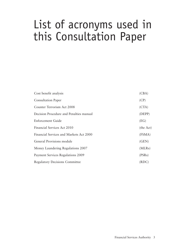# List of acronyms used in this Consultation Paper

| Cost benefit analysis                   | (CBA)     |
|-----------------------------------------|-----------|
| <b>Consultation Paper</b>               | (CP)      |
| Counter Terrorism Act 2008              | (CTA)     |
| Decision Procedure and Penalties manual | (DEPP)    |
| <b>Enforcement Guide</b>                | (EG)      |
| Financial Services Act 2010             | (the Act) |
| Financial Services and Markets Act 2000 | (FSMA)    |
| General Provisions module               | (GEN)     |
| Money Laundering Regulations 2007       | (MLRs)    |
| Payment Services Regulations 2009       | (PSRs)    |
| <b>Regulatory Decisions Committee</b>   | (RDC)     |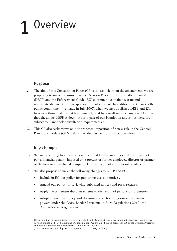# 1 Overview

# **Purpose**

- 1.1 The aim of this Consultation Paper (CP) is to seek views on the amendments we are proposing to make to ensure that the Decision Procedure and Penalties manual (DEPP) and the Enforcement Guide (EG) continue to contain accurate and up-to-date statements of our approach to enforcement. In addition, the CP meets the public commitment we made in July 2007, when we first published DEPP and EG, to review those materials at least annually and to consult on all changes to EG even though, unlike DEPP, it does not form part of our Handbook and is not therefore subject to Handbook consultation requirements.<sup>1</sup>
- 1.2 This CP also seeks views on our proposed imposition of a new rule in the General Provisions module (GEN) relating to the payment of financial penalties.

# **Key changes**

- 1.3 We are proposing to impose a new rule in GEN that an authorised firm must not pay a financial penalty imposed on a present or former employee, director or partner of the firm or an affiliated company. This rule will not apply to sole traders.
- 1.4 We also propose to make the following changes to DEPP and EG:
	- Include in EG our policy for publishing decision notices.
	- Amend our policy for reviewing published notices and press releases.
	- Apply the settlement discount scheme to the length of periods of suspension.
	- Adopt a penalties policy and decision maker for using our enforcement powers under the Cross-Border Payments in Euro Regulations 2010 (the 'Cross-Border Regulations').

<sup>1</sup> Please note that our commitment to reviewing DEPP and EG at least once a year does not necessarily mean we will have an annual, dedicated DEPP and EG consultation. We explained this in paragraph 1.5 of the Decision Procedure and Penalties manual and Enforcement Guide Review 2008 CP. (CP08/10: [www.fsa.gov.uk/pages/Library/Policy/CP/2008/08\\_10.shtml](http://www.fsa.gov.uk/pages/Library/Policy/CP/2008/08_10.shtml)).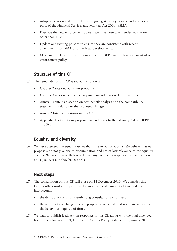- Adopt a decision maker in relation to giving statutory notices under various parts of the Financial Services and Markets Act 2000 (FSMA).
- Describe the new enforcement powers we have been given under legislation other than FSMA.
- Update our existing policies to ensure they are consistent with recent amendments to FSMA or other legal developments.
- Make minor clarifications to ensure EG and DEPP give a clear statement of our enforcement policy.

# **Structure of this CP**

- 1.5 The remainder of this CP is set out as follows:
	- Chapter 2 sets out our main proposals.
	- Chapter 3 sets out our other proposed amendments to DEPP and EG.
	- Annex 1 contains a section on cost benefit analysis and the compatibility statement in relation to the proposed changes.
	- Annex 2 lists the questions in this CP.
	- Appendix 1 sets out our proposed amendments to the Glossary, GEN, DEPP and EG.

# **Equality and diversity**

1.6 We have assessed the equality issues that arise in our proposals. We believe that our proposals do not give rise to discrimination and are of low relevance to the equality agenda. We would nevertheless welcome any comments respondents may have on any equality issues they believe arise.

## **Next steps**

- 1.7 The consultation on this CP will close on 14 December 2010. We consider this two-month consultation period to be an appropriate amount of time, taking into account:
	- the desirability of a sufficiently long consultation period; and
	- the nature of the changes we are proposing, which should not materially affect the behaviour required of firms.
- 1.8 We plan to publish feedback on responses to this CP, along with the final amended text of the Glossary, GEN, DEPP and EG, in a Policy Statement in January 2011.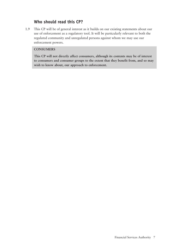# **Who should read this CP?**

1.9 This CP will be of general interest as it builds on our existing statements about our use of enforcement as a regulatory tool. It will be particularly relevant to both the regulated community and unregulated persons against whom we may use our enforcement powers.

#### **CONSUMERS**

 **This CP will not directly affect consumers, although its contents may be of interest to consumers and consumer groups to the extent that they benefit from, and so may wish to know about, our approach to enforcement.**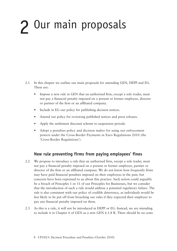# 2 Our main proposals

- 2.1 In this chapter we outline our main proposals for amending GEN, DEPP and EG. These are:
	- Impose a new rule in GEN that an authorised firm, except a sole trader, must not pay a financial penalty imposed on a present or former employee, director or partner of the firm or an affiliated company.
	- Include in EG our policy for publishing decision notices.
	- Amend our policy for reviewing published notices and press releases.
	- Apply the settlement discount scheme to suspension periods.
	- Adopt a penalties policy and decision maker for using our enforcement powers under the Cross-Border Payments in Euro Regulations 2010 (the 'Cross-Border Regulations').

# **New rule preventing firms from paying employees' fines**

- 2.2 We propose to introduce a rule that an authorised firm, except a sole trader, must not pay a financial penalty imposed on a present or former employee, partner or director of the firm or an affiliated company. We do not know how frequently firms may have paid financial penalties imposed on their employees in the past, but concerns have been expressed to us about this practice. Such action could arguably be a breach of Principles 1 or 11 of our Principles for Businesses, but we consider that the introduction of such a rule would address a potential regulatory failure. The rule is also consistent with our policy of credible deterrence, as individuals would be less likely to be put off from breaching our rules if they expected their employer to pay any financial penalty imposed on them.
- 2.3 As this is a rule, it will not be introduced in DEPP or EG. Instead, we are intending to include it in Chapter 6 of GEN as a new GEN 6.1.8 R. There should be no costs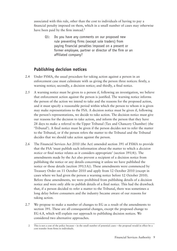associated with this rule, other than the cost to individuals of having to pay a financial penalty imposed on them, which in a small number of cases may otherwise have been paid by the firm instead.<sup>2</sup>

Q1: Do you have any comments on our proposed new rule preventing firms (except sole traders) from paying financial penalties imposed on a present or former employee, partner or director of the firm or an affiliated company?

# **Publishing decision notices**

- 2.4 Under FSMA, the usual procedure for taking action against a person in an enforcement case must culminate with us giving the person three notices: firstly, a warning notice; secondly, a decision notice; and thirdly, a final notice.
- 2.5 A warning notice must be given to a person if, following an investigation, we believe that enforcement action against the person is justified. The warning notice informs the person of the action we intend to take and the reasons for the proposed action, and it must specify a reasonable period within which the person to whom it is given may make representations to the FSA. A decision notice must be given if, following the person's representations, we decide to take action. The decision notice must give our reasons for the decision to take action, and inform the person that they have 28 days to make a referral to the Upper Tribunal (Tax and Chancery Chamber) (the 'Tribunal'). A final notice must be given if the person decides not to refer the matter to the Tribunal, or if the person refers the matter to the Tribunal and the Tribunal decides that we should take action against the person.
- 2.6 The Financial Services Act 2010 (the Act) amended section 391 of FSMA to provide that the FSA 'must publish such information about the matter to which a *decision notice or* final notice relates as it considers appropriate' (section 391(4)). The amendments made by the Act also prevent a recipient of a decision notice from publishing the notice or any details concerning it unless we have published the notice or those details (section 391(1A)). These amendments were commenced by Treasury Order on 11 October 2010 and apply from 12 October 2010 (except in cases where we had given the person a warning notice before 12 October 2010). Before these amendments, we were prohibited from publishing details of a decision notice and were only able to publish details of a final notice. This had the drawback that, if a person decided to refer a matter to the Tribunal, there was sometimes a long delay before consumers and the industry became aware of our reasons for taking action.
- 2.7 We propose to make a number of changes to EG as a result of the amendments to section 391. These are all consequential changes, except the proposed change to EG 6.8, which will explain our approach to publishing decision notices. We considered two alternative approaches.

<sup>2</sup> This is not a cost of the policy because – in the small number of potential cases – the proposal would in effect be a cost transfer from firms to individuals.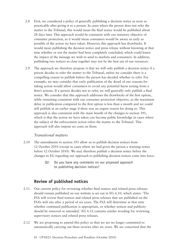- 2.8 First, we considered a policy of generally publishing a decision notice as soon as practicable after giving it to a person. In cases where the person does not refer the matter to the Tribunal, this would mean the final notice would be published about 28 days later. This approach would be consistent with our statutory objective of consumer protection, as it would mean consumers would be aware as early as possible of the action we have taken. However, this approach has drawbacks. It would mean publishing the decision notice and press release without knowing at that time whether or not the matter had been completely concluded, which could lessen the impact of the message we wish to send to markets and consumers. In addition, publishing two notices so close together may not be the best use of our resources.
- 2.9 The approach we therefore propose is that we will only publish a decision notice if a person decides to refer the matter to the Tribunal, unless we consider there is a compelling reason to publish before the person has decided whether to refer. For example, we may consider that early publication of the detail of our reasons for taking action would allow consumers to avoid any potential harm arising from a firm's actions. If a person decides not to refer, we will generally only publish a final notice. We consider that this approach addresses the drawbacks of the first option, while remaining consistent with our consumer protection objective, as the maximum delay in publication compared to the first option is less than a month and we could still publish at an earlier stage if there was an urgent reason for doing so. This approach is also consistent with the main benefit of the changes to section 391, which is that the action we have taken can become public knowledge in cases where the subject of the enforcement action refers the matter to the Tribunal. This approach will also impose no costs on firms.

#### *Transitional matters*

- 2.10 The amendments to section 391 allow us to publish decision notices from 12 October 2010 (except in cases where we had given the person a warning notice before 12 October 2010). We may therefore publish a decision notice before the changes to EG regarding our approach to publishing decision notices come into force.
	- Q2: Do you have any comments on our proposed approach to publishing decision notices?

# **Review of published notices**

- 2.11 Our current policy for reviewing whether final notices and related press releases should remain published on our website is set out in EG 6.10, which states: 'The FSA will review final notices and related press releases that are published on the FSA's web site after a period of six years. The FSA will determine at that time whether continued publication is appropriate, or whether notices and publicity should be removed or amended.' EG 6.12 contains similar wording for reviewing supervisory notices and related press releases.
- 2.12 We are proposing to amend this policy so that we are no longer committed to automatically carrying out these reviews after six years. We are concerned that the
	- 10 CP10/23: Decision Procedure and Penalties (October 2010)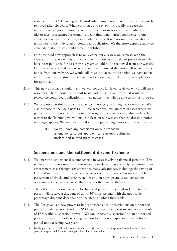statement in EG 6.10 may give the misleading impression that a notice is likely to be removed after six years. When carrying out a review it is usually the case that, unless there is a good reason for removal, the reasons for continued publication (deterrence, precedent/educational value, maintaining market confidence in our ability to take effective action, as a matter of record) will normally outweigh any unfairness to the individual of continued publication. We therefore expect usually to conclude that a notice should remain published.

- 2.13 Our proposed new approach is to only carry out a review on request, with the expectation that we will usually conclude that notices and related press releases that have been published for less than six years should not be removed from our website. On review, we could decide to retain, remove or amend the notice. (If we remove a notice from our website, we would still take into account the action we have taken in future matters relating to the person – for example, in relation to an application for approval.)
- 2.14 This new approach should mean we will conduct far fewer reviews, which will save resources. There should be no cost to individuals as, if an individual wants us to review the continued publication of their notice, they will be able to ask us to do so.
- 2.15 We propose that this approach applies to all notices, including decision notices. We also propose to include a new EG 6.10A, which will explain that in cases where we publish a decision notice relating to a person, but the person successfully refers the matter to the Tribunal, we will make it clear on our website that the decision notice no longer applies. We will normally do this by publishing a notice of discontinuance.
	- Q3: Do you have any comments on our proposed amendments to our approach to reviewing published notices and related press releases?

# **Suspensions and the settlement discount scheme**

- 2.16 We operate a settlement discount scheme in cases involving financial penalties. This scheme aims to encourage and reward early settlement, as the early resolution of an enforcement case through settlement has many advantages, including: the saving of FSA and industry resources, getting messages out to the market sooner, a public perception of timely and effective action and, in appropriate cases, consumers obtaining compensation earlier than would otherwise be the case.
- 2.17 The settlement discount scheme for financial penalties is set out in DEPP 6.7. A person will receive a discount of up to 30% for settling, with the applicable percentage discount dependant on the stage at which they settle.
- 2.18 The Act gave us a new power to impose suspensions or restrictions on authorised persons, under section 206A of FSMA, and on approved persons, under section 66 of FSMA (the 'suspension power'). We can impose a suspension<sup>3</sup> on an authorised person for a period not exceeding 12 months and on an approved person for a period not exceeding two years.

<sup>3</sup> For the purposes of this CP, unless otherwise stated we will use the terms 'suspension/suspend' to cover both the power to suspend and the power to impose limitations or restrictions.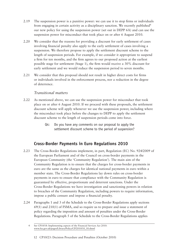- 2.19 The suspension power is a punitive power: we can use it to stop firms or individuals from engaging in certain activity as a disciplinary sanction. We recently published<sup>4</sup> our new policy for using the suspension power (set out in DEPP 6A) and can use the suspension power for misconduct that took place on or after 6 August 2010.
- 2.20 We consider that the reasons for providing a discount for early settlement of cases involving financial penalty also apply to the early settlement of cases involving a suspension. We therefore propose to apply the settlement discount scheme to the length of suspension periods. For example, if we consider it appropriate to suspend a firm for ten months, and the firm agrees to our proposed action at the earliest possible stage for settlement (Stage 1), the firm would receive a 30% discount for early settlement and we would reduce the suspension period to seven months.
- 2.21 We consider that this proposal should not result in higher direct costs for firms or individuals involved in the enforcement process, nor a reduction in the degree of deterrence.

#### *Transitional matters*

- 2.22 As mentioned above, we can use the suspension power for misconduct that took place on or after 6 August 2010. If we proceed with these proposals, the settlement discount scheme will apply whenever we use the suspension power, including where the misconduct took place before the changes to DEPP to apply the settlement discount scheme to the length of suspension periods come into force.
	- Q4: Do you have any comments on our proposal to apply the settlement discount scheme to the period of suspension?

# **Cross-Border Payments in Euro Regulations 2010**

- 2.23 The Cross-Border Regulations implement, in part, Regulation (EC) No. 924/2009 of the European Parliament and of the Council on cross-border payments in the European Community (the 'Community Regulation'). The main aim of the Community Regulation is to ensure that the charges for cross-border payments in euro are the same as the charges for identical national payments in euro within a member state. The Cross-Border Regulations lay down rules on cross-border payments in euro to ensure that compliance with the Community Regulation is guaranteed by effective, proportionate and deterrent sanctions. Under the Cross-Border Regulations we have investigation and sanctioning powers in relation to breaches of the Community Regulation, including powers to require information, impose a public censure and impose a financial penalty.
- 2.24 Paragraphs 1 and 3 of the Schedule to the Cross-Border Regulations apply sections 69(1) and 210(1) of FSMA, and so require us to prepare and issue a statement of policy regarding the imposition and amount of penalties under the Cross-Border Regulations. Paragraph 5 of the Schedule to the Cross-Border Regulations applies

12 CP10/23: Decision Procedure and Penalties (October 2010)

<sup>4</sup> See CP10/18: Implementing aspects of the Financial Services Act 2010: [www.fsa.gov.uk/pages/Library/Policy/CP/2010/10\\_18.shtml](http://www.fsa.gov.uk/pages/Library/Policy/CP/2010/10_18.shtml)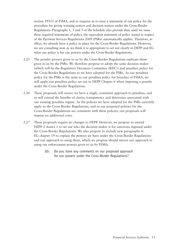section 395(5) of FSMA, and so requires us to issue a statement of our policy for the procedure for giving warning notices and decision notices under the Cross-Border Regulations. Paragraphs 1, 3 and 5 of the Schedule also provide that, until we issue these required statements of policy, the equivalent statement of policy issued in respect of the Payment Services Regulations 2009 (PSRs) automatically applies. Therefore, in effect, we already have a policy in place for the Cross-Border Regulations. However, we are consulting now as we think it is appropriate to set out clearly in DEPP and EG what our policy is for our powers under the Cross-Border Regulations.

- 2.25 The penalty powers given to us by the Cross-Border Regulations replicate those given to us by the PSRs. We therefore propose to adopt the same decision maker (which will be the Regulatory Decisions Committee (RDC)) and penalties policy for the Cross-Border Regulations as we have adopted for the PSRs. As our penalties policy for the PSRs is the same as our penalties policy for breaches of FSMA, we will apply our penalties policy set out in DEPP Chapter 6 when imposing a penalty under the Cross-Border Regulations.
- 2.26 These proposals will ensure we have a single, consistent approach to penalties, and so will extend the benefits of clarity, transparency and deterrence associated with our existing penalties regime. As the policies we have adopted for the PSRs currently apply to the Cross-Border Regulations, and as our proposed policies for the Cross-Border Regulations are consistent with these policies, our proposals will impose no additional costs.
- 2.27 These proposals require no changes to DEPP. However, we propose to amend DEPP 2 Annex 1 to set out who the decision maker is for sanctions imposed under the Cross-Border Regulations. We also propose to include new paragraphs in EG chapter 19 to explain the powers we have under the Cross-Border Regulations and our approach to using them, which we propose should mirror our approach to using our enforcement powers given to us by FSMA.
	- Q5: Do you have any comments on our proposed approach for our powers under the Cross-Border Regulations?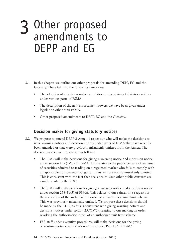# 3 Other proposed<br>amendments to amendments to DEPP and EG

- 3.1 In this chapter we outline our other proposals for amending DEPP, EG and the Glossary. These fall into the following categories:
	- The adoption of a decision maker in relation to the giving of statutory notices under various parts of FSMA.
	- The description of the new enforcement powers we have been given under legislation other than FSMA.
	- Other proposed amendments to DEPP, EG and the Glossary.

## **Decision maker for giving statutory notices**

- 3.2 We propose to amend DEPP 2 Annex 1 to set out who will make the decisions to issue warning notices and decision notices under parts of FSMA that have recently been amended or that were previously mistakenly omitted from the Annex. The decision makers we propose are as follows:
	- The RDC will make decisions for giving a warning notice and a decision notice under section 89K(2)/(3) of FSMA. This relates to the public censure of an issuer of securities admitted to trading on a regulated market who fails to comply with an applicable transparency obligation. This was previously mistakenly omitted. This is consistent with the fact that decisions to issue other public censures are usually made by the RDC.
	- The RDC will make decisions for giving a warning notice and a decision notice under section 256(4)/(5) of FSMA. This relates to our refusal of a request for the revocation of the authorisation order of an authorised unit trust scheme. This was previously mistakenly omitted. We propose these decisions should be made by the RDC, as this is consistent with giving warning notices and decisions notices under section 255(1)/(2), relating to our making an order revoking the authorisation order of an authorised unit trust scheme.
	- FSA staff under executive procedures will make decisions for the giving of warning notices and decision notices under Part 18A of FSMA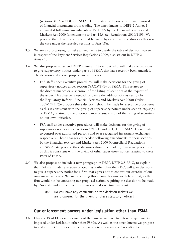(sections 313A – 313D of FSMA). This relates to the suspension and removal of financial instruments from trading. The amendments to DEPP 2 Annex 1 are needed following amendments to Part 18A by the Financial Services and Markets Act 2000 (amendments to Part 18A etc) Regulations 2010/1193. We propose that these decisions should be made by executive procedures as this was the case under the repealed sections of Part 18A.

- 3.3 We are also proposing to make amendments to clarify the table of decision makers in respect of the Payment Services Regulations 2009, also set out in DEPP 2 Annex 1.
- 3.4 We also propose to amend DEPP 2 Annex 2 to set out who will make the decisions to give supervisory notices under parts of FSMA that have recently been amended. The decision makers we propose are as follows:
	- FSA staff under executive procedures will make decisions for the giving of supervisory notices under section 78A(2)/(8)(b) of FSMA. This relates to the discontinuance or suspension of the listing of securities at the request of the issuer. This change is needed following the addition of this section by the Regulatory Reform (Financial Services and Markets Act 2000) Order 2007/1973. We propose these decisions should be made by executive procedures as this is consistent with the giving of supervisory notices under section  $78(2)/(5)$ of FSMA, relating to the discontinuance or suspension of the listing of securities on our own initiative.
	- FSA staff under executive procedures will make decisions for the giving of supervisory notices under sections  $191B(1)$  and  $301J(1)$  of FSMA. These relate to control over authorised persons and over recognised investment exchanges respectively. These changes are needed following amendments to these sections by the Financial Services and Markets Act 2000 (Controllers) Regulations 2009/534. We propose these decisions should be made by executive procedures as this is consistent with the giving of other supervisory notices relating to these Parts of FSMA.
- 3.5 We also propose to include a new paragraph in DEPP, DEPP 2.5.7A G, to explain that FSA staff under executive procedures, rather than the RDC, will take decisions to give a supervisory notice for a firm that agrees not to contest our exercise of our own initiative power. We are proposing this change because we believe that, as the firm would not be contesting our proposed action, requiring the decision to be made by FSA staff under executive procedures would save time and cost.
	- Q6: Do you have any comments on the decision makers we are proposing for the giving of these statutory notices?

# **Our enforcement powers under legislation other than FSMA**

3.6 Chapter 19 of EG describes many of the powers we have to enforce requirements imposed under legislation other than FSMA. As well as the amendments we propose to make to EG 19 to describe our approach to enforcing the Cross-Border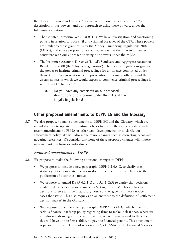Regulations, outlined in Chapter 2 above, we propose to include in EG 19 a description of our powers, and our approach to using those powers, under the following legislation:

- The Counter Terrorism Act 2008 (CTA). We have investigation and sanctioning powers in relation to both civil and criminal breaches of the CTA. These powers are similar to those given to us by the Money Laundering Regulations 2007 (MLRs), and so we propose to use our powers under the CTA in a manner consistent with our approach to using our powers under the MLRs.
- The Insurance Accounts Directive (Lloyd's Syndicate and Aggregate Accounts) Regulations 2008 (the 'Lloyd's Regulations'). The Lloyd's Regulations give us the power to institute criminal proceedings for an offence committed under them. Our policy in relation to the prosecution of criminal offences and the circumstances in which we would expect to commence criminal proceedings is set out in EG chapter 12.
	- Q7: Do you have any comments on our proposed descriptions of our powers under the CTA and the Lloyd's Regulations?

# **Other proposed amendments to DEPP, EG and the Glossary**

3.7 We also propose to make amendments to DEPP, EG and the Glossary, which are intended either to update our existing policies to ensure they are consistent with recent amendments to FSMA or other legal developments, or to clarify our enforcement policy. We will also make minor changes such as correcting typos and updating references. We consider that none of these proposed changes will impose material costs on firms or individuals.

#### *Proposed amendments to DEPP*

- 3.8 We propose to make the following additional changes to DEPP:
	- We propose to include a new paragraph, DEPP 1.2.6A G, to clarify that statutory notice associated decisions do not include decisions relating to the publication of a statutory notice.
	- We propose to amend DEPP 4.2.1 G and 5.1.1  $G(3)$  to clarify that decisions made by directors can also be made by 'acting directors'. This applies to decisions to give an urgent statutory notice and to give a statutory notice in cases that settle. This also requires an amendment to the definition of 'settlement decision maker' in the Glossary.
	- We propose to include a new paragraph, DEPP 6.5D.4A G, which amends our serious financial hardship policy regarding firms to make it clear that, where we are also withdrawing a firm's authorisation, we will have regard to the effect this will have on the firm's ability to pay the financial penalty. This amendment is pursuant to the deletion of section 206(2) of FSMA by the Financial Services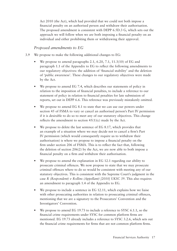Act 2010 (the Act), which had provided that we could not both impose a financial penalty on an authorised person and withdraw their authorisation. The proposed amendment is consistent with DEPP 6.5D.3 G, which sets out the approach we will follow when we are both imposing a financial penalty on an individual and either prohibiting them or withdrawing their approval.

#### *Proposed amendments to EG*

- 3.9 We propose to make the following additional changes to EG:
	- We propose to amend paragraphs 2.1, 6.20, 7.1,  $11.3(10)$  of EG and paragraph 1.1 of the Appendix to EG to reflect the following amendments to our regulatory objectives: the addition of 'financial stability' and the deletion of 'public awareness'. These changes to our regulatory objectives were made by the Act.
	- We propose to amend EG 7.4, which describes our statements of policy in relation to the imposition of financial penalties, to include a reference to our statement of policy in relation to financial penalties for late submission of reports, set out in DEPP 6.6. This reference was previously mistakenly omitted.
	- We propose to amend EG 8.1 to state that we can use our powers under section 45 of FSMA to vary or cancel an authorised person's Part IV permission if it is desirable to do so to meet any of our statutory objectives. This change reflects the amendment to section 45(1)(c) made by the Act.
	- We propose to delete the last sentence of EG 8.17, which provides that an example of a situation where we may decide not to cancel a firm's Part IV permission (which would consequently require us to withdraw their authorisation) is where we propose to impose a financial penalty on the firm under section 206 of FSMA. This is to reflect the fact that, following the deletion of section 206(2) by the Act, we are now able to both impose a financial penalty on a firm and withdraw their authorisation.
	- We propose to amend the explanation in EG 12.1 regarding our ability to prosecute criminal offences. We now propose to state that we may prosecute criminal offences where to do so would be consistent with meeting any of our statutory objectives. This is consistent with the Supreme Court's judgment in the case *R (Respondent) v Rollins (Appellant) [2010] UKSC 39*. This also requires an amendment to paragraph 1.4 of the Appendix to EG.
	- We propose to include a sentence in EG 12.11, which explains how we liaise with other prosecuting authorities in relation to prosecuting criminal offences, mentioning that we are a signatory to the Prosecutors' Convention and the Investigators' Convention.
	- We propose to amend EG 19.73 to include a reference to SYSC 6.1.1, so the financial crime requirements under SYSC for common platform firms are mentioned. EG 19.73 already includes a reference to SYSC 3.2.6, which sets out the financial crime requirements for firms that are not common platform firms.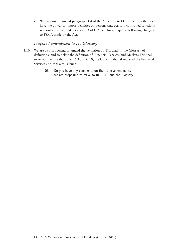• We propose to amend paragraph 1.4 of the Appendix to EG to mention that we have the power to impose penalties on persons that perform controlled functions without approval under section 63 of FSMA. This is required following changes to FSMA made by the Act.

#### *Proposed amendment to the Glossary*

- 3.10 We are also proposing to amend the definition of 'Tribunal' in the Glossary of definitions, and to delete the definition of 'Financial Services and Markets Tribunal', to reflect the fact that, from 6 April 2010, the Upper Tribunal replaced the Financial Services and Markets Tribunal.
	- Q8: Do you have any comments on the other amendments we are proposing to make to DEPP, EG and the Glossary?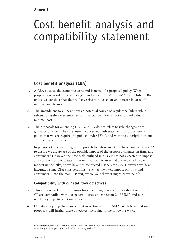## **Annex 1**

# Cost benefit analysis and compatibility statement

# **Cost benefit analysis (CBA)**

- 1. A CBA assesses the economic costs and benefits of a proposed policy. When proposing new rules, we are obliged under section 155 of FSMA to publish a CBA, unless we consider that they will give rise to no costs or an increase in costs of minimal significance.
- 2. The amendment to GEN removes a potential source of regulatory failure while safeguarding the deterrent effect of financial penalties imposed on individuals at minimal cost.
- 3. The proposals for amending DEPP and EG do not relate to rule changes or to guidance on rules. They are instead concerned with statements of procedure or policy that we are required to publish under FSMA and with the description of our approach to enforcement.
- 4. In previous CPs concerning our approach to enforcement, we have conducted a CBA to ensure we are aware of the possible impact of the proposed changes on firms and consumers.<sup>5</sup> However, the proposals outlined in this CP are not expected to impose any costs or costs of greater than minimal significance and are expected to yield modest net benefits, so we have not conducted a separate CBA. However, we have integrated some CBA considerations – such as the likely impact on firms and consumers – into the main CP text, where we believe it might prove helpful.

# **Compatibility with our statutory objectives**

- 5. This section explains our reasons for concluding that the proposals set out in this CP are compatible with our general duties under section 2 of FSMA and our regulatory objectives set out in sections 3 to 6.
- 6. Our statutory objectives are set out in section 2(2) of FSMA. We believe that our proposals will further these objectives, including in the following ways.

<sup>5</sup> For example, CP08/10: Decision Procedure and Penalties manual and Enforcement Guide Review 2008: [www.fsa.gov.uk/pages/Library/Policy/CP/2008/08\\_10.shtml](http://www.fsa.gov.uk/pages/Library/Policy/CP/2008/08_10.shtml)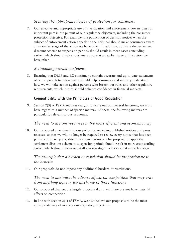#### *Securing the appropriate degree of protection for consumers*

7. Our effective and appropriate use of investigation and enforcement powers plays an important part in the pursuit of our regulatory objectives, including the consumer protection objective. For example, the publication of decision notices when the subject of enforcement action appeals to the Tribunal should make consumers aware at an earlier stage of the action we have taken. In addition, applying the settlement discount scheme to suspension periods should result in more cases concluding earlier, which should make consumers aware at an earlier stage of the action we have taken.

#### *Maintaining market confidence*

8. Ensuring that DEPP and EG continue to contain accurate and up-to-date statements of our approach to enforcement should help consumers and industry understand how we will take action against persons who breach our rules and other regulatory requirements, which in turn should enhance confidence in financial markets.

#### **Compatibility with the Principles of Good Regulation**

9. Section 2(3) of FSMA requires that, in carrying out our general functions, we must have regard to a number of specific matters. Of these, the following matters are particularly relevant to our proposals.

#### *The need to use our resources in the most efficient and economic way*

10. Our proposed amendment to our policy for reviewing published notices and press releases, so that we will no longer be required to review every notice that has been published for six years, should save our resources. Our proposal to apply the settlement discount scheme to suspension periods should result in more cases settling earlier, which should mean our staff can investigate other cases at an earlier stage.

#### *The principle that a burden or restriction should be proportionate to the benefits*

11. Our proposals do not impose any additional burdens or restrictions.

*The need to minimise the adverse effects on competition that may arise from anything done in the discharge of those functions*

- 12. Our proposed changes are largely procedural and will therefore not have material effects on competition.
- 13. In line with section 2(1) of FSMA, we also believe our proposals to be the most appropriate way of meeting our regulatory objectives.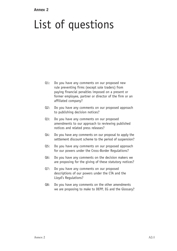#### **Annex 2**

# List of questions

- Q1: Do you have any comments on our proposed new rule preventing firms (except sole traders) from paying financial penalties imposed on a present or former employee, partner or director of the firm or an affiliated company?
- Q2: Do you have any comments on our proposed approach to publishing decision notices?
- Q3: Do you have any comments on our proposed amendments to our approach to reviewing published notices and related press releases?
- Q4: Do you have any comments on our proposal to apply the settlement discount scheme to the period of suspension?
- Q5: Do you have any comments on our proposed approach for our powers under the Cross-Border Regulations?
- Q6: Do you have any comments on the decision makers we are proposing for the giving of these statutory notices?
- Q7: Do you have any comments on our proposed descriptions of our powers under the CTA and the Lloyd's Regulations?
- Q8: Do you have any comments on the other amendments we are proposing to make to DEPP, EG and the Glossary?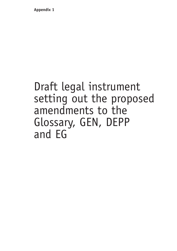**Appendix 1**

# Draft legal instrument setting out the proposed amendments to the Glossary, GEN, DEPP and EG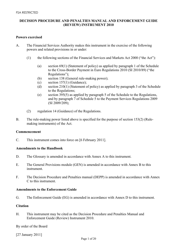#### **DECISION PROCEDURE AND PENALTIES MANUAL AND ENFORCEMENT GUIDE (REVIEW) INSTRUMENT 2010**

#### **Powers exercised**

- A. The Financial Services Authority makes this instrument in the exercise of the following powers and related provisions in or under:
	- (1) the following sections of the Financial Services and Markets Act 2000 ("the Act"):
		- (a) section 69(1) (Statement of policy) as applied by paragraph 1 of the Schedule to the Cross-Border Payment in Euro Regulations 2010 (SI 2010/89) ("the Regulations");
		- (b) section 138 (General rule-making power);
		- (c) section  $157(1)$  (Guidance);
		- (d) section 210(1) (Statement of policy) as applied by paragraph 3 of the Schedule to the Regulations;
		- (e) section 395(5) as applied by paragraph 5 of the Schedule to the Regulations, and by paragraph 7 of Schedule 5 to the Payment Services Regulations 2009 (SI 2009/209);
	- (2) regulation 14 (Guidance) of the Regulations.
- B. The rule-making power listed above is specified for the purpose of section 153(2) (Rulemaking instruments) of the Act.

#### **Commencement**

C. This instrument comes into force on [6 February 2011].

#### **Amendments to the Handbook**

- D. The Glossary is amended in accordance with Annex A to this instrument.
- E. The General Provisions module (GEN) is amended in accordance with Annex B to this instrument.
- F. The Decision Procedure and Penalties manual (DEPP) is amended in accordance with Annex C to this instrument.

#### **Amendments to the Enforcement Guide**

G. The Enforcement Guide (EG) is amended in accordance with Annex D to this instrument.

#### **Citation**

H. This instrument may be cited as the Decision Procedure and Penalties Manual and Enforcement Guide (Review) Instrument 2010.

By order of the Board

[27 January 2011]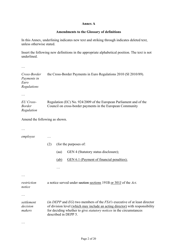#### **Annex A**

#### **Amendments to the Glossary of definitions**

In this Annex, underlining indicates new text and striking through indicates deleted text, unless otherwise stated.

Insert the following new definitions in the appropriate alphabetical position. The text is not underlined.

…

*Cross-Border Payments in Euro Regulations*  the Cross-Border Payments in Euro Regulations 2010 (SI 2010/89).

…

| EU Cross-     | Regulation (EC) No. 924/2009 of the European Parliament and of the |
|---------------|--------------------------------------------------------------------|
| <i>Border</i> | Council on cross-border payments in the European Community         |
| Regulation    |                                                                    |

Amend the following as shown.

…

| employee                         |     |      |                                                                                                                                                                                                                                                                      |
|----------------------------------|-----|------|----------------------------------------------------------------------------------------------------------------------------------------------------------------------------------------------------------------------------------------------------------------------|
|                                  | (2) |      | (for the purposes of:                                                                                                                                                                                                                                                |
|                                  |     | (aa) | GEN 4 (Statutory status disclosure);                                                                                                                                                                                                                                 |
|                                  |     | (ab) | GEN 6.1 (Payment of financial penalties);                                                                                                                                                                                                                            |
|                                  |     |      |                                                                                                                                                                                                                                                                      |
|                                  |     |      |                                                                                                                                                                                                                                                                      |
| restriction<br>notice            |     |      | a notice served under section sections 191B or 301J of the Act.                                                                                                                                                                                                      |
|                                  |     |      |                                                                                                                                                                                                                                                                      |
| settlement<br>decision<br>makers |     |      | (in DEPP and $EG$ ) two members of the $FSA$ 's executive of at least director<br>of division level (which may include an acting director) with responsibility<br>for deciding whether to give <i>statutory notices</i> in the circumstances<br>described in DEPP 5. |
|                                  |     |      |                                                                                                                                                                                                                                                                      |

Page 2 of 20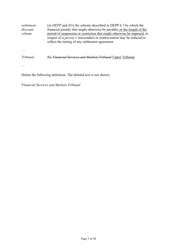| settlement<br>discount<br>scheme | (in <i>DEPP</i> and $EG$ ) the scheme described in DEPP 6.7 by which the<br>financial penalty that might otherwise be payable, or the length of the<br>period of suspension or restriction that might otherwise be imposed, in<br>respect of a <i>person's</i> misconduct or contravention may be reduced to<br>reflect the timing of any settlement agreement. |
|----------------------------------|-----------------------------------------------------------------------------------------------------------------------------------------------------------------------------------------------------------------------------------------------------------------------------------------------------------------------------------------------------------------|
|                                  |                                                                                                                                                                                                                                                                                                                                                                 |
| Tribunal                         | the <i>Financial Services and Markets Tribunal</i> Upper Tribunal.                                                                                                                                                                                                                                                                                              |
|                                  |                                                                                                                                                                                                                                                                                                                                                                 |

Delete the following definition. The deleted text is not shown.

*Financial Services and Markets Tribunal*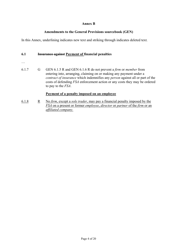#### **Annex B**

#### **Amendments to the General Provisions sourcebook (GEN)**

In this Annex, underlining indicates new text and striking through indicates deleted text.

#### **6.1 Insurance against Payment of financial penalties**

- …
- 6.1.7 G GEN 6.1.5 R and GEN 6.1.6 R do not prevent a *firm* or *member* from entering into, arranging, claiming on or making any payment under a *contract of insurance* which indemnifies any *person* against all or part of the costs of defending *FSA* enforcement action or any costs they may be ordered to pay to the *FSA*.

#### **Payment of a penalty imposed on an employee**

6.1.8 R No *firm*, except a *sole trader*, may pay a financial penalty imposed by the *FSA* on a present or former *employee*, *director* or *partner* of the *firm* or an *affiliated company.*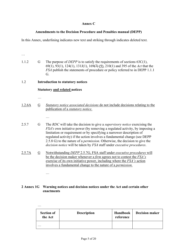#### **Annex C**

#### **Amendments to the Decision Procedure and Penalties manual (DEPP)**

In this Annex, underlining indicates new text and striking through indicates deleted text.

… 1.1.2 G The purpose of *DEPP* is to satisfy the requirements of sections 63C(1), 69(1), 93(1), 124(1), 131J(1), 169(7) (9), 210(1) and 395 of the *Act* that the *FSA* publish the statements of procedure or policy referred to in DEPP 1.1.1 G. 1.2 **Introduction to statutory notices Statutory and related notices**  … 1.2.6A G *Statutory notice associated decisions* do not include decisions relating to the publication of a *statutory notice*. … 2.5.7 G The *RDC* will take the decision to give a *supervisory notice* exercising the *FSA's* own initiative power (by removing a regulated activity, by imposing a limitation or requirement or by specifying a narrower description of regulated activity) if the action involves a fundamental change (see DEPP 2.5.8 G) to the nature of a *permission*. Otherwise, the decision to give the *decision notice* will be taken by *FSA* staff under *executive procedures*. 2.5.7A G Notwithstanding *DEPP* 2.5.7G, FSA staff under *executive procedures* will be the decision maker whenever a *firm* agrees not to contest the *FSA's*  exercise of its own initiative power, including where the *FSA's* action involves a fundamental change to the nature of a *permission.* …

#### **2 Annex 1G Warning notices and decision notices under the Act and certain other enactments**

| $\cdot\cdot\cdot$            |                    |                       |                       |
|------------------------------|--------------------|-----------------------|-----------------------|
| <b>Section of</b><br>the Act | <b>Description</b> | Handbook<br>reference | <b>Decision maker</b> |
| $\cdot\cdot\cdot$            |                    |                       |                       |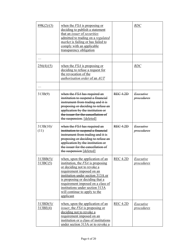| 89K(2)/(3)              | when the $FSA$ is proposing or<br>deciding to publish a statement<br>that an <i>issuer</i> of <i>securities</i><br>admitted to trading on a regulated<br><i>market</i> is failing or has failed to<br>comply with an applicable<br>transparency obligation                                                                        |                 | <b>RDC</b>                     |
|-------------------------|-----------------------------------------------------------------------------------------------------------------------------------------------------------------------------------------------------------------------------------------------------------------------------------------------------------------------------------|-----------------|--------------------------------|
| $\cdot$ $\cdot$ $\cdot$ |                                                                                                                                                                                                                                                                                                                                   |                 |                                |
| 256(4)/(5)              | when the $FSA$ is proposing or<br>deciding to refuse a request for<br>the revocation of the<br>authorisation order of an AUT                                                                                                                                                                                                      |                 | <b>RDC</b>                     |
|                         |                                                                                                                                                                                                                                                                                                                                   |                 |                                |
| 313B(9)                 | when the <i>FSA</i> has required an<br>institution to suspend a financial<br>instrument from trading and it is<br>proposing or deciding to refuse an<br>application by the institution or<br>the issuer for the cancellation of<br>the suspension. [deleted]                                                                      | REC4.2D         | <i>Executive</i><br>procedures |
| $313B(10)$ /<br>(11)    | when the FSA has required an<br>institution to suspend a financial<br>instrument from trading and it is<br>proposing or deciding to refuse an<br>application by the institution or<br>the issuer for the cancellation of<br>the suspension [deleted]                                                                              | REC4.2D         | <i>Executive</i><br>procedures |
| 313BB(5)/<br>313BC(5)   | when, upon the application of an<br>institution, the $FSA$ is proposing<br>or deciding not to revoke a<br>requirement imposed on an<br>institution under section 313A or<br>is proposing or deciding that a<br>requirement imposed on a class of<br>institutions under section 313A<br>will continue to apply to the<br>applicant | <b>REC 4.2D</b> | Executive<br><i>procedures</i> |
| 313BD(5)/<br>313BE(4)   | when, upon the application of an<br><i>issuer</i> , the <i>FSA</i> is proposing or<br>deciding not to revoke a<br>requirement imposed on an<br>institution or a class of institutions<br>under section 313A or to revoke a                                                                                                        | <b>REC 4.2D</b> | Executive<br>procedures        |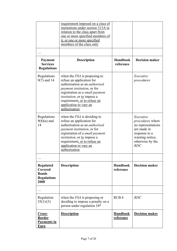|                                                                                       | requirement imposed on a class of<br>institutions under section 313A in<br>relation to the class apart from<br>one or more specified members of<br>it, or one or more specified<br>members of the class only                                                                                    |                              |                                                                                                                                          |
|---------------------------------------------------------------------------------------|-------------------------------------------------------------------------------------------------------------------------------------------------------------------------------------------------------------------------------------------------------------------------------------------------|------------------------------|------------------------------------------------------------------------------------------------------------------------------------------|
|                                                                                       |                                                                                                                                                                                                                                                                                                 |                              |                                                                                                                                          |
| Payment<br><b>Services</b><br><b>Regulations</b>                                      | <b>Description</b>                                                                                                                                                                                                                                                                              | <b>Handbook</b><br>reference | <b>Decision maker</b>                                                                                                                    |
| Regulations<br>$9(7)$ and 14                                                          | when the $FSA$ is proposing to<br>refuse an application for<br>authorisation as an <i>authorised</i><br>payment institution, or for<br>registration as a <i>small payment</i><br><i>institution</i> , or to impose a<br>requirement, or to refuse an<br>application to vary an<br>authorisation |                              | Executive<br>procedures                                                                                                                  |
| Regulations<br>$9(8)(a)$ and<br>14                                                    | when the $FSA$ is deciding to<br>refuse an application for<br>authorisation as an <i>authorised</i><br><i>payment institution</i> , or for<br>registration of a small payment<br><i>institution</i> , or to impose a<br>requirement, or to refuse an<br>application to vary an<br>authorisation |                              | Executive<br><i>procedures</i> where<br>no representations<br>are made in<br>response to a<br>warning notice,<br>otherwise by the<br>RDC |
| $\ddots$<br><b>Regulated</b><br>Covered<br><b>Bonds</b><br><b>Regulations</b><br>2008 | <b>Description</b>                                                                                                                                                                                                                                                                              | <b>Handbook</b><br>reference | <b>Decision maker</b>                                                                                                                    |
| .                                                                                     |                                                                                                                                                                                                                                                                                                 |                              |                                                                                                                                          |
| Regulation<br>35(1)/(3)                                                               | when the $FSA$ is proposing or<br>deciding to impose a penalty on a<br>person under regulation 34*                                                                                                                                                                                              | RCB <sub>6</sub>             | RDC                                                                                                                                      |
| <u>Cross-</u><br><b>Border</b><br><b>Payments in</b><br><b>Euro</b>                   | <b>Description</b>                                                                                                                                                                                                                                                                              | <b>Handbook</b><br>reference | <b>Decision maker</b>                                                                                                                    |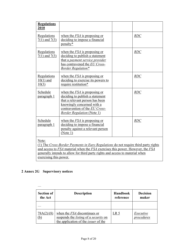| <b>Regulations</b><br>2010          |                                                                                                                                                                                                                                                        |     |
|-------------------------------------|--------------------------------------------------------------------------------------------------------------------------------------------------------------------------------------------------------------------------------------------------------|-----|
| Regulations<br>$7(1)$ and $7(3)$    | when the $FSA$ is proposing or<br>deciding to impose a financial<br>penalty*                                                                                                                                                                           | RDC |
| Regulations<br>$7(1)$ and $7(3)$    | when the $FSA$ is proposing or<br>deciding to publish a statement<br>that a <i>payment service provider</i><br>has contravened the EU Cross-<br><b>Border Regulation*</b>                                                                              | RDC |
| Regulations<br>$10(1)$ and<br>10(3) | when the $FSA$ is proposing or<br>deciding to exercise its powers to<br>require restitution*                                                                                                                                                           | RDC |
| Schedule<br>paragraph 1             | when the $FSA$ is proposing or<br>deciding to publish a statement<br>that a relevant person has been<br>knowingly concerned with a<br>contravention of the EU Cross-<br><b>Border Regulation (Note 1)</b>                                              | RDC |
| Schedule<br>paragraph 1             | when the $FSA$ is proposing or<br>deciding to impose a financial<br>penalty against a relevant person<br>(Note 1)                                                                                                                                      | RDC |
| Note:                               | (1) The Cross-Border Payments in Euro Regulations do not require third party rights<br>and access to FSA material when the FSA exercises this power. However, the FSA<br>generally intends to allow for third party rights and access to material when |     |

# exercising this power.

# **2 Annex 2G Supervisory notices**

| <b>Section of</b><br>the Act | <b>Description</b>                                                                                                                 | <b>Handbook</b><br>reference | <b>Decision</b><br>maker |
|------------------------------|------------------------------------------------------------------------------------------------------------------------------------|------------------------------|--------------------------|
| $\ddot{\phantom{0}}$         |                                                                                                                                    |                              |                          |
| 78A(2)/(8)<br><u>(b)</u>     | when the <i>FSA</i> discontinues or<br>suspends the <i>listing</i> of a security on<br>the application of the <i>issuer</i> of the | LR <sub>5</sub>              | Executive<br>procedures  |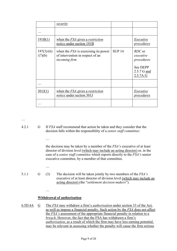|                       | <i>security</i>                                                                             |               |                                                                          |
|-----------------------|---------------------------------------------------------------------------------------------|---------------|--------------------------------------------------------------------------|
|                       |                                                                                             |               |                                                                          |
| 191B(1)               | when the <i>FSA</i> gives a <i>restriction</i><br>notice under section 191B                 |               | Executive<br><i>procedures</i>                                           |
| 197(3)/(6)<br>/(7)(b) | when the $FSA$ is exercising its power<br>of intervention in respect of an<br>incoming firm | <b>SUP 14</b> | RDC or<br>executive<br>procedures<br>See DEPP<br>2.5.7 G and<br>2.5.7A G |
|                       |                                                                                             |               |                                                                          |
| 301J(1)               | when the <i>FSA</i> gives a <i>restriction</i><br>notice under section 301J                 |               | Executive<br>procedures                                                  |
|                       |                                                                                             |               |                                                                          |

…

4.2.1 G If *FSA* staff recommend that action be taken and they consider that the decision falls within the responsibility of a *senior staff committee*:

…

 the decision may be taken by a member of the *FSA's* executive of at least director of division level (which may include an acting director) or, in the case of a *senior staff committee* which reports directly to the *FSA's* senior executive committee, by a member of that committee.

…

…

5.1.1 G (3) The decision will be taken jointly by two members of the *FSA's* executive of at least director of division level (which may include an acting director) (the "*settlement decision makers*").

#### **Withdrawal of authorisation**

6.5D.4A G The *FSA* may withdraw a firm's *authorisation* under section 33 of the Act, as well as impose a financial penalty. Such action by the *FSA* does not affect the *FSA's* assessment of the appropriate financial penalty in relation to a *breach*. However, the fact that the FSA has withdrawn a firm's *authorisation*, as a result of which the firm may have less earning potential, may be relevant in assessing whether the penalty will cause the firm serious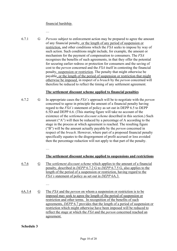#### financial hardship.

…

6.7.1 G *Persons* subject to enforcement action may be prepared to agree the amount of any financial penalty, or the length of any period of suspension or restriction, and other conditions which the *FSA* seeks to impose by way of such action. Such conditions might include, for example, the amount or mechanism for the payment of compensation to consumers. The *FSA* recognises the benefits of such agreements, in that they offer the potential for securing earlier redress or protection for consumers and the saving of cost to the *person* concerned and the *FSA* itself in contesting the financial penalty, suspension or restriction. The penalty that might otherwise be payable, or the length of the period of suspension or restriction that might otherwise be imposed, in respect of a *breach* by the *person* concerned will therefore be reduced to reflect the timing of any settlement agreement.

#### **The settlement discount scheme applied to financial penalties**

6.7.2 G In appropriate cases the *FSA's* approach will be to negotiate with the *person* concerned to agree in principle the amount of a financial penalty having regard to the *FSA's* statement of policy as set out in DEPP 6.5 to DEPP 6.5D and DEPP 6.6. (This starting figure will take no account of the existence of the *settlement discount scheme* described in this section.) Such amount ("A") will then be reduced by a percentage of A according to the stage in the process at which agreement is reached. The resulting figure ("B") will be the amount actually payable by the *person* concerned in respect of the *breach*. However, where part of a proposed financial penalty specifically equates to the disgorgement of profit accrued or loss avoided then the percentage reduction will not apply to that part of the penalty.

…

#### **The settlement discount scheme applied to suspensions and restrictions**

6.7.6 G The *settlement discount scheme* which applies to the amount of a financial penalty, described in *DEPP* 6.7.2 G to *DEPP* 6.7.5 G, also applies to the length of the period of a suspension or restriction, having regard to the *FSA's* statement of policy as set out in *DEPP* 6A.3.

…

6A.3.4 G The *FSA* and the *person* on whom a suspension or restriction is to be imposed may seek to agree the length of the period of suspension or restriction and other terms. In recognition of the benefits of such agreements, *DEPP* 6.7 provides that the length of a period of suspension or restriction which might otherwise have been imposed will be reduced to reflect the stage at which the *FSA* and the *person* concerned reached an agreement.

**Schedule 3**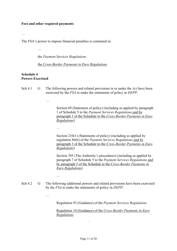#### **Fees and other required payments**

…

The FSA's power to impose financial penalties is contained in:

…

the *Payment Services Regulations* 

the *Cross-Border Payments in Euro Regulations*

#### **Schedule 4 Powers Exercised**

Sch 4.1 G The following powers and related provisions in or under the *Act* have been exercised by the *FSA* to make the statements of policy in *DEPP*:

…

 Section 69 (Statement of policy) (including as applied by paragraph 1 of Schedule 5 to the *Payment Services Regulations* and by paragraph 1 of the Schedule to the *Cross-Border Payments in Euro Regulations*)

and the contract of the contract of

Section 210(1) (Statements of policy) (including as applied by regulation 86(6) of the *Payment Services Regulations* and by paragraph 3 of the Schedule to the *Cross-Border Payments in Euro Regulations*)

 Section 395 (The Authority's procedures) (including as applied by paragraph 7 of Schedule 5 to the *Payment Services Regulations* and by paragraph 5 of the Schedule to the *Cross-Border Payments in Euro Regulations*)

Sch 4.2 G The following additional powers and related provisions have been exercised by the *FSA* to make the statements of policy in *DEPP*:

…

man and the contract of the con-

Regulation 93 (Guidance) of the *Payment Services Regulations*

 Regulation 14 (Guidance) of the *Cross-Border Payments in Euro Regulations*

.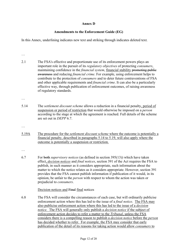#### **Annex D**

#### **Amendments to the Enforcement Guide (EG)**

In this Annex, underlining indicates new text and striking through indicates deleted text.

- 2.1 The FSA's effective and proportionate use of its enforcement powers plays an important role in the pursuit of its *regulatory objectives* of protecting *consumers*, maintaining confidence in the *financial system*, financial stability promoting public awareness and reducing *financial crime*. For example, using enforcement helps to contribute to the protection of *consumers* and to deter future contraventions of FSA and other applicable requirements and *financial crime*. It can also be a particularly effective way, through publication of enforcement outcomes, of raising awareness of regulatory standards.
- …

…

- 5.14 The *settlement discount scheme* allows a reduction in a financial penalty, period of suspension or period of restriction that would otherwise be imposed on a *person* according to the stage at which the agreement is reached. Full details of the scheme are set out in *DEPP* 6.7.
- …
- 5.19A The procedure for the *settlement discount scheme* where the outcome is potentially a financial penalty, described in paragraphs 5.14 to 5.19, will also apply where the outcome is potentially a suspension or restriction.
- …
- 6.7 For both *supervisory notices* (as defined in section 395(13)) which have taken effect, *decision notices* and *final notices*, section 391 of the Act requires the FSA to publish, in such manner as it considers appropriate, such information about the matter to which the notice relates as it considers appropriate. However, section 391 provides that the FSA cannot publish information if publication of it would, in its opinion, be unfair to the *person* with respect to whom the action was taken or prejudicial to *consumers*.

Decision notices and Final final notices

6.8 The FSA will consider the circumstances of each case, but will ordinarily publicise enforcement action where this has led to the issue of a *final notice*. The FSA may also publicise enforcement action where this has led to the issue of a *decision notice.* The FSA will generally only publish a *decision notice* if the subject of enforcement action decides to refer a matter to the *Tribunal*, unless the FSA considers there is a compelling reason to publish a *decision notice* before the *person* has decided whether to refer. For example, the FSA may consider that early publication of the detail of its reasons for taking action would allow *consumers* to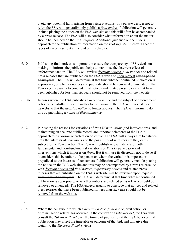avoid any potential harm arising from a *firm's* actions. If a *person* decides not to refer, the FSA will generally only publish a *final notice.* Publication will generally include placing the notice on the FSA web site and this will often be accompanied by a press release. The FSA will also consider what information about the matter should be included on the *FSA Register*. Additional guidance on the FSA's approach to the publication of information on the *FSA Register* in certain specific types of cases is set out at the end of this chapter.

- …
- 6.10 Publishing final notices is important to ensure the transparency of FSA decisionmaking; it informs the public and helps to maximise the deterrent effect of enforcement action. The FSA will review *decision notices, final notices* and related press releases that are published on the FSA's web site upon request after a period of six years. The FSA will determine at that time whether continued publication is appropriate, or whether notices and publicity should be removed or amended. The FSA expects usually to conclude that notices and related press releases that have been published for less than six years should not be removed from the website.
- 6.10A In cases where the FSA publishes a *decision notice* and the subject of enforcement action successfully refers the matter to the *Tribunal*, the FSA will make it clear on its website that the *decision notice* no longer applies. The FSA will normally do this by publishing a *notice of discontinuance*.
- …
- 6.12 Publishing the reasons for variations of *Part IV permission* (and interventions), and maintaining an accurate public record, are important elements of the FSA's approach to its *consumer* protection objective. The FSA will always aim to balance both the interests of *consumers* and the possibility of unfairness to the *person* subject to the FSA's action. The FSA will publish relevant details of both fundamental and non-fundamental variations of *Part IV permission* and interventions which it imposes on *firms*. But it will use its discretion not to do so if it considers this be unfair to the person on whom the variation is imposed or prejudicial to the interests of consumers. Publication will generally include placing the notice on the FSA web site and this may be accompanied by a press release. As with *decision notices* and *final notices*, *supervisory notices* and related press releases that are published on the FSA's web site will be reviewed upon request after a period of six years. The FSA will determine at that time whether continued publication is appropriate, or whether notices and related press releases should be removed or amended. The FSA expects usually to conclude that notices and related press releases that have been published for less than six years should not be removed from the web site.

…

6.18 Where the behaviour to which a *decision notice, final notice*, civil action, or criminal action relates has occurred in the context of a *takeover bid*, the FSA will consult the *Takeover Panel* over the timing of publication if the FSA believes that publication may affect the timetable or outcome of that bid, and will give due weight to the *Takeover Panel's* views.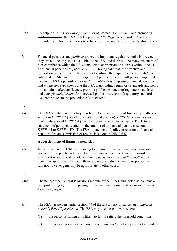…

…

- 6.20 To help it fulfil its *regulatory objectives* of protecting *consumers* and promoting public awareness, the FSA will keep on the *FSA Register* a record of *firms* or individual auditors or actuaries who have been the subject of disqualification orders.
- 7.1 Financial penalties and *public censures* are important regulatory tools. However, they are not the only tools available to the FSA, and there will be many instances of non-compliance which the FSA considers it appropriate to address without the use of financial penalties or *public censures*. Having said that, the effective and proportionate use of the FSA's powers to enforce the requirements of the *Act*, the *rules* and the Statements of Principle for Approved Persons will play an important role in the FSA's pursuit of its *regulatory objectives*. Imposing financial penalties and *public censures* shows that the FSA is upholding regulatory standards and helps to maintain market confidence, promote public awareness of regulatory standards and deter *financial crime*. An increased public awareness of regulatory standards also contributes to the protection of *consumers*.
- …
- 7.4 The FSA's statement of policy in relation to the imposition of financial penalties is set out in *DEPP* 6.2 (Deciding whether to take action), *DEPP* 6.3 (Penalties for market abuse) and *DEPP* 6.4 (Financial penalty or public censure). The FSA's statement of policy in relation to the amount of a financial penalty is set out in *DEPP* 6.5 to *DEPP* 6.5D. The FSA's statement of policy in relation to financial penalties for late submission of reports is set out in *DEPP* 6.6.

#### **Apportionment of financial penalties**

- 7.5 In a case where the FSA is proposing to impose a financial penalty on a *person* for two or more separate and distinct areas of misconduct, the FSA will consider whether it is appropriate to identify in the *decision notice and final notice* how the penalty is apportioned between those separate and distinct areas. Apportionment will not however generally be appropriate in other cases.
- …
- 7.8A Chapter 6 of the General Provisions module of the FSA Handbook also contains a rule prohibiting a *firm* from paying a financial penalty imposed on an *employee* or former *employee.*

…

- 8.1 The FSA has powers under section 45 of the *Act* to vary or cancel an *authorised person's Part IV permission*. The FSA may use these powers where:
	- (1) the person is failing or is likely to fail to satisfy the threshold conditions;
	- (2) the person has not carried on any *regulated activity* for a period of at least 12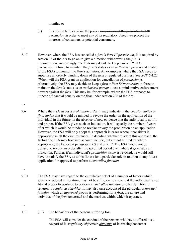#### months; or

- (3) it is desirable to exercise the power vary or cancel the person's *Part IV permission* in order to meet any of its regulatory objectives protect the interests of consumers or potential consumers.
- 8.17 However, where the FSA has cancelled a *firm's Part IV permission*, it is required by section 33 of the *Act* to go on to give a direction withdrawing the *firm's authorisation*. Accordingly, the FSA may decide to keep a *firm's Part IV permission* in force to maintain the *firm's* status as an *authorised person* and enable it (the FSA) to monitor the *firm's* activities. An example is where the FSA needs to supervise an orderly winding down of the *firm's* regulated business (see *SUP* 6.4.22 (When will the FSA grant an application for cancellation of *permission*)). Alternatively, the FSA may decide to keep a *firm's Part IV permission* in force to maintain the *firm's* status as an *authorised person* to use administrative enforcement powers against the *firm*. This may be, for example, where the FSA proposes to impose a financial penalty on the *firm* under section 206 of the Act.
- 9.6 Where the FSA issues a *prohibition order*, it may indicate in the *decision notice or final notice* that it would be minded to revoke the order on the application of the individual in the future, in the absence of new evidence that the individual is not fit and proper. If the FSA gives such an indication, it will specify the number of years after which it would be minded to revoke or vary the prohibition on an application. However, the FSA will only adopt this approach in cases where it considers it appropriate in all the circumstances. In deciding whether to adopt this approach, the factors the FSA may take into account include, but are not limited to, where appropriate, the factors at paragraphs 9.9 and at 9.17. The FSA would not be obliged to revoke an order after the specified period even where it gave such an indication. Further, if an individual's *prohibition order* is revoked, he would still have to satisfy the FSA as to his fitness for a particular role in relation to any future application for approval to perform a *controlled function*.

…

…

…

9.10 The FSA may have regard to the cumulative effect of a number of factors which, when considered in isolation, may not be sufficient to show that the individual is not fit and proper to continue to perform a *controlled function* or other function in relation to *regulated activities*. It may also take account of the particular *controlled function* which an *approved person* is performing for a *firm*, the nature and activities of the *firm* concerned and the markets within which it operates.

…

11.3 (10) The behaviour of the persons suffering loss

 The FSA will consider the conduct of the persons who have suffered loss. As part of its *regulatory objectives objective* of increasing consumer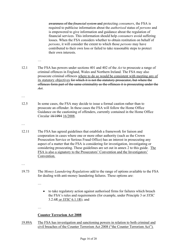awareness of the *financial system* and protecting *consumers*, the FSA is required to publicise information about the *authorised* status of *persons* and is empowered to give information and guidance about the regulation of financial services. This information should help *consumers* avoid suffering losses. When the FSA considers whether to obtain restitution on behalf of *persons*, it will consider the extent to which those *persons* may have contributed to their own loss or failed to take reasonable steps to protect their own interests.

- 12.1 The FSA has powers under sections 401 and 402 of the *Act* to prosecute a range of criminal offences in England, Wales and Northern Ireland. The FSA may also prosecute criminal offences where to do so would be consistent with meeting any of its statutory objectives for which it is not the statutory prosecutor, but where the offences form part of the same criminality as the offences it is prosecuting under the *Act*.
- …

…

- 12.5 In some cases, the FSA may decide to issue a formal caution rather than to prosecute an offender. In these cases the FSA will follow the Home Office Guidance on the cautioning of offenders, currently contained in the Home Office Circular 18/1994 16/2008.
- …
- 12.11 The FSA has agreed guidelines that establish a framework for liaison and cooperation in cases where one or more other authority (such as the Crown Prosecution Service or Serious Fraud Office) has an interest in prosecuting any aspect of a matter that the FSA is considering for investigation, investigating or considering prosecuting. These guidelines are set out in annex 2 to this guide. The FSA is also a signatory to the Prosecutors' Convention and the Investigators' Convention.
- …
- 19.73 The *Money Laundering Regulations* add to the range of options available to the FSA for dealing with anti-money laundering failures. These options are:
	- …
- to take regulatory action against authorised firms for failures which breach the FSA's rules and requirements (for example, under Principle 3 or *SYSC*  3.2.6R or *SYSC* 6.1.1R); and

…

#### **Counter Terrorism Act 2008**

19.89A The FSA has investigation and sanctioning powers in relation to both criminal and civil breaches of the Counter Terrorism Act 2008 ("the Counter Terrorism Act").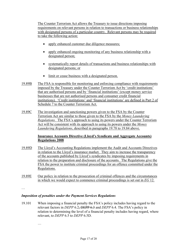The Counter Terrorism Act allows the Treasury to issue directions imposing requirements on relevant persons in relation to transactions or business relationships with designated persons of a particular country. Relevant persons may be required to take the following action:

- apply enhanced customer due diligence measures;
- apply enhanced ongoing monitoring of any business relationship with a designated person;
- systematically report details of transactions and business relationships with designated persons; or
- limit or cease business with a designated person.
- 19.89B The FSA is responsible for monitoring and enforcing compliance with requirements imposed by the Treasury under the Counter Terrorism Act by 'credit institutions' that are authorised persons and by 'financial institutions' (except money service businesses that are not authorised persons and consumer credit financial institutions). 'Credit institutions' and 'financial institutions' are defined in Part 2 of Schedule 7 to the Counter Terrorism Act.
- 19.89C The investigation and sanctioning powers given to the FSA by the Counter Terrorism Act are similar to those given to the FSA by the *Money Laundering Regulations.* The FSA's approach to using its powers under the Counter Terrorism Act will be consistent with its approach to using its powers under the *Money Laundering Regulations*, described in paragraphs 19.78 to 19.84 above.

#### **Insurance Accounts Directive (Lloyd's Syndicate and Aggregate Accounts) Regulations 2008**

- 19.89D The Lloyd's Accounting Regulations implement the Audit and Accounts Directives in relation to the Lloyd's insurance market. They aim to increase the transparency of the accounts published by Lloyd's syndicates by imposing requirements in relation to the preparation and disclosure of the accounts. The Regulations give the FSA the power to institute criminal proceedings for an offence committed under the Regulations.
- 19.89E Our policy in relation to the prosecution of criminal offences and the circumstances in which we would expect to commence criminal proceedings is set out in *EG* 12.

…

#### *Imposition of penalties under the Payment Services Regulations*

19.101 When imposing a financial penalty the FSA's policy includes having regard to the relevant factors in *DEPP* 6.2, DEPP 6.3 and *DEPP* 6.4. The FSA's policy in relation to determining the level of a financial penalty includes having regard, where relevant, to *DEPP* 6.5 to *DEPP* 6.5D.

…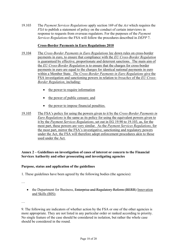19.103 The *Payment Services Regulations* apply section 169 of the *Act* which requires the *FSA* to publish a statement of policy on the conduct of certain interviews in response to requests from overseas regulators. For the purposes of the *Payment Services Regulations* the FSA will follow the procedures described in *DEPP* 7.

#### **Cross-Border Payments in Euro Regulations 2010**

- 19.104 The *Cross-Border Payments in Euro Regulations* lay down rules on cross-border payments in euro, to ensure that compliance with the *EU Cross-Border Regulation*  is guaranteed by effective, proportionate and deterrent sanctions. The main aim of the *EU Cross-Border Regulation* is to ensure that the charges for cross-border payments in euro are equal to the charges for identical national payments in euro within a Member State. *The Cross-Border Payments in Euro Regulations* give the FSA investigation and sanctioning powers in relation to *breaches* of the *EU Cross-Border Regulation*, including:
	- the power to require information
	- the power of public censure; and
	- the power to impose financial penalties.
- 19.105 The FSA's policy for using the powers given to it by the *Cross-Border Payments in Euro Regulations* is the same as its policy for using the equivalent powers given to it by the *Payment Services Regulations*, set out in EG 19.90 to 19.103, as, for the most part, these powers are very similar. As the *Payment Services Regulations*, for the most part, mirror the FSA's investigative, sanctioning and regulatory powers under the Act, the FSA will therefore adopt enforcement procedures akin to those used under the Act.

#### **Annex 2 – Guidelines on investigation of cases of interest or concern to the Financial Services Authority and other prosecuting and investigating agencies**

#### **Purpose, status and application of the guidelines**

1. These guidelines have been agreed by the following bodies (the agencies):

…

• the Department for Business, Enterprise and Regulatory Reform (BERR) Innovation and Skills (BIS);

…

9. The following are indicators of whether action by the FSA or one of the other agencies is more appropriate. They are not listed in any particular order or ranked according to priority. No single feature of the case should be considered in isolation, but rather the whole case should be considered in the round.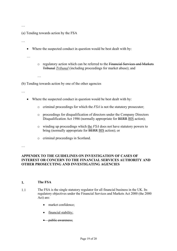…

(a) Tending towards action by the FSA

…

• Where the suspected conduct in question would be best dealt with by:

…

- o regulatory action which can be referred to the Financial Services and Markets Tribunal *Tribunal* (including proceedings for market abuse); and
- …

(b) Tending towards action by one of the other agencies

…

- Where the suspected conduct in question would be best dealt with by:
	- o criminal proceedings for which the *FSA* is not the statutory prosecutor;
	- o proceedings for disqualification of directors under the Company Directors Disqualification Act 1986 (normally appropriate for BERR BIS action);
	- o winding up proceedings which the *FSA* does not have statutory powers to bring (normally appropriate for BERR BIS action); or
	- o criminal proceedings in Scotland.

…

#### **APPENDIX TO THE GUIDELINES ON INVESTIGATION OF CASES OF INTEREST OR CONCERN TO THE FINANCIAL SERVICES AUTHORITY AND OTHER PROSECUTING AND INVESTIGATING AGENCIES**

#### **1. The FSA**

- 1.1 The FSA is the single statutory regulator for all financial business in the UK. Its regulatory objectives under the Financial Services and Markets Act 2000 (the 2000 Act) are:
	- market confidence;
	- financial stability;
	- *public awareness*;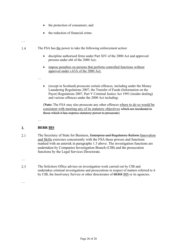- the protection of consumers; and
- the reduction of financial crime.

#### …

- 1.4 The FSA has the power to take the following enforcement action:
	- discipline authorised firms under Part XIV of the 2000 Act and approved persons under s66 of the 2000 Act;
	- impose penalties on persons that perform controlled functions without approval under s.63A of the 2000 Act;
	- (except in Scotland) prosecute certain offences, including under the Money Laundering Regulations 2007, the Transfer of Funds (Information on the Payer) Regulations 2007, Part V Criminal Justice Act 1993 (insider dealing) and various offences under the 2000 Act including:

(**Note:** The FSA may also prosecute any other offences where to do so would be consistent with meeting any of its statutory objectives which are incidental to those which it has express statutory power to prosecute)

#### **2. BERR BIS**

…

…

- 2.1 The Secretary of State for Business, Enterprise and Regulatory Reform Innovation and Skills exercises concurrently with the FSA those powers and functions marked with an asterisk in paragraphs 1.3 above. The investigation functions are undertaken by Companies Investigation Branch (CIB) and the prosecution functions by the Legal Services Directorate.
- …

…

2.3 The Solicitors Office advises on investigation work carried out by CIB and undertakes criminal investigations and prosecutions in respect of matters referred to it by CIB, the Insolvency Service or other directorates of BERR BIS or its agencies.